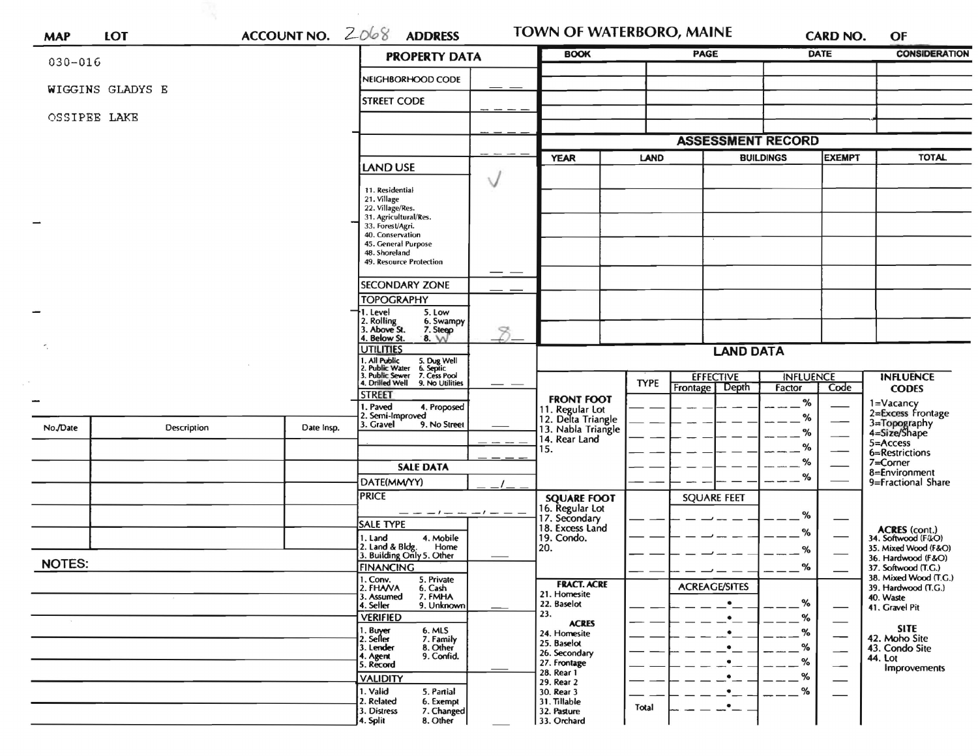| ACCOUNT NO. $2068$<br><b>LOT</b><br><b>MAP</b> |             |            | <b>PROPERTY DATA</b>                                                                                                      | <b>BOOK</b> |                                                     | PAGE                                                 |                          | DATE             | <b>CONSIDERATION</b>           |                                              |
|------------------------------------------------|-------------|------------|---------------------------------------------------------------------------------------------------------------------------|-------------|-----------------------------------------------------|------------------------------------------------------|--------------------------|------------------|--------------------------------|----------------------------------------------|
| $030 - 016$                                    |             |            | NEIGHBORHOOD CODE                                                                                                         |             |                                                     |                                                      |                          |                  |                                |                                              |
| WIGGINS GLADYS E                               |             |            |                                                                                                                           |             |                                                     |                                                      |                          |                  |                                |                                              |
| OSSIPEE LAKE                                   |             |            | <b>STREET CODE</b>                                                                                                        |             |                                                     |                                                      |                          |                  |                                |                                              |
|                                                |             |            |                                                                                                                           |             |                                                     | <b>ASSESSMENT RECORD</b><br><b>BUILDINGS</b><br>LAND |                          |                  |                                |                                              |
|                                                |             |            |                                                                                                                           |             | <b>YEAR</b>                                         |                                                      |                          |                  | <b>EXEMPT</b>                  | <b>TOTAL</b>                                 |
|                                                |             |            | <b>LAND USE</b>                                                                                                           |             |                                                     |                                                      |                          |                  |                                |                                              |
|                                                |             |            | 11. Residential                                                                                                           | V           |                                                     |                                                      |                          |                  |                                |                                              |
|                                                |             |            | 21. Village<br>22. Village/Res.                                                                                           |             |                                                     |                                                      |                          |                  |                                |                                              |
|                                                |             |            | 31. Agricultural/Res.<br>33. Forest/Agri.                                                                                 |             |                                                     |                                                      |                          |                  |                                |                                              |
|                                                |             |            | 40. Conservation<br>45. General Purpose                                                                                   |             |                                                     |                                                      |                          |                  |                                |                                              |
|                                                |             |            | 48. Shoreland<br>49. Resource Protection                                                                                  |             |                                                     |                                                      |                          |                  |                                |                                              |
|                                                |             |            | <b>SECONDARY ZONE</b>                                                                                                     |             |                                                     |                                                      |                          |                  |                                |                                              |
|                                                |             |            | <b>TOPOGRAPHY</b>                                                                                                         |             |                                                     |                                                      |                          |                  |                                |                                              |
|                                                |             |            | 1. Level<br>5. Low<br>6. Swampy                                                                                           |             |                                                     |                                                      |                          |                  |                                |                                              |
|                                                |             |            | 2. Rolling<br>3. Above St.<br>7. Steep<br>4. Below St.<br>8. W                                                            |             |                                                     |                                                      |                          |                  |                                |                                              |
|                                                |             |            | <b>JTILITIES</b>                                                                                                          |             | <b>LAND DATA</b>                                    |                                                      |                          |                  |                                |                                              |
|                                                |             |            | 1. All Public 5. Dug Well<br>2. Public Water 6. Septic<br>3. Public Sewer 7. Cess Pool<br>4. Drilled Well 9. No Utilities |             |                                                     |                                                      | <b>EFFECTIVE</b>         | <b>INFLUENCE</b> |                                | <b>INFLUENCE</b>                             |
|                                                |             |            |                                                                                                                           |             |                                                     | <b>TYPE</b>                                          | Depth<br><b>Frontage</b> | Factor           | Code                           | <b>CODES</b>                                 |
|                                                |             |            | <b>STREET</b><br>. Paved<br>4. Proposed<br>2. Semi-Improved                                                               |             | <b>FRONT FOOT</b><br>11. Regular Lot                |                                                      |                          | $\%$             |                                | 1=Vacancy<br>2=Excess Frontage               |
| No./Date                                       | Description | Date Insp. | 3. Gravel<br>9. No Street                                                                                                 |             | 12. Delta Triangle<br>13. Nabla Triangle            |                                                      |                          | %<br>%           |                                | 3=Topography<br>4=Size/Shape                 |
|                                                |             |            |                                                                                                                           |             | 14. Rear Land<br>15.                                |                                                      |                          | %                |                                | 5=Access<br>6=Restrictions                   |
|                                                |             |            | <b>SALE DATA</b>                                                                                                          |             |                                                     |                                                      |                          | %                |                                | 7=Corner                                     |
|                                                |             |            | DATE(MM/YY)                                                                                                               |             |                                                     |                                                      |                          | %                |                                | 8=Environment<br>9=Fractional Share          |
|                                                |             |            | <b>PRICE</b>                                                                                                              |             | <b>SQUARE FOOT</b>                                  |                                                      | <b>SQUARE FEET</b>       |                  |                                |                                              |
|                                                |             |            | — — — ! — — — ! — — —<br><b>SALE TYPE</b>                                                                                 |             | 16. Regular Lot<br>17. Secondary<br>18. Excess Land |                                                      |                          | %                |                                |                                              |
|                                                |             |            | 4. Mobile<br>1. Land                                                                                                      |             | 19. Condo.                                          |                                                      |                          | %                |                                | ACRES (cont.)<br>34. Softwood (F&O)          |
|                                                |             |            | 2. Land & Bldg. Home<br>3. Building Only 5. Other<br>Home                                                                 |             | 20.                                                 |                                                      |                          | %                |                                | 35. Mixed Wood (F&O)<br>36. Hardwood (F&O)   |
| <b>NOTES:</b>                                  |             |            | <b>FINANCING</b><br>5. Private                                                                                            |             |                                                     |                                                      |                          | %                |                                | 37. Softwood (T.G.)<br>38. Mixed Wood (T.G.) |
|                                                |             |            | 1. Conv.<br>2. FHA/VA<br>6. Cash<br>3. Assumed<br>7. FMHA                                                                 |             | <b>FRACT. ACRE</b><br>21. Homesite                  |                                                      | <b>ACREAGE/SITES</b>     |                  |                                | 39. Hardwood (T.G.)<br>40. Waste             |
|                                                |             |            | 9. Unknown<br>4. Seller                                                                                                   |             | 22. Baselot<br>23.                                  |                                                      | $\bullet$                | %                |                                | 41. Gravel Pit                               |
|                                                |             |            | <b>VERIFIED</b><br>1. Buyer<br>6. MLS                                                                                     |             | <b>ACRES</b><br>24. Homesite                        |                                                      | $\bullet$<br>٠           | %<br>%           |                                | <b>SITE</b>                                  |
|                                                |             |            | 2. Seller<br>7. Family<br>3. Lender<br>8. Other                                                                           |             | 25. Baselot                                         |                                                      | ٠                        | %                | --<br>$\overline{\phantom{0}}$ | 42. Moho Site<br>43. Condo Site              |
|                                                |             |            | 9. Confid.<br>4. Agent<br>5. Record                                                                                       |             | 26. Secondary<br>27. Frontage                       |                                                      | $\bullet$                | %                | $\overline{\phantom{0}}$       | <b>44. Lot</b><br>Improvements               |
|                                                |             |            | <b>VALIDITY</b>                                                                                                           |             | 28. Rear 1<br>29. Rear 2                            |                                                      | $\bullet$                | %                |                                |                                              |
|                                                |             |            | 1. Valid<br>5. Partial<br>2. Related<br>6. Exempt                                                                         |             | 30. Rear 3<br>31. Tillable                          |                                                      | $\bullet$<br>$\bullet$   | $\%$             |                                |                                              |
|                                                |             |            | 3. Distress<br>7. Changed                                                                                                 |             | 32. Pasture                                         | Total                                                |                          |                  |                                |                                              |